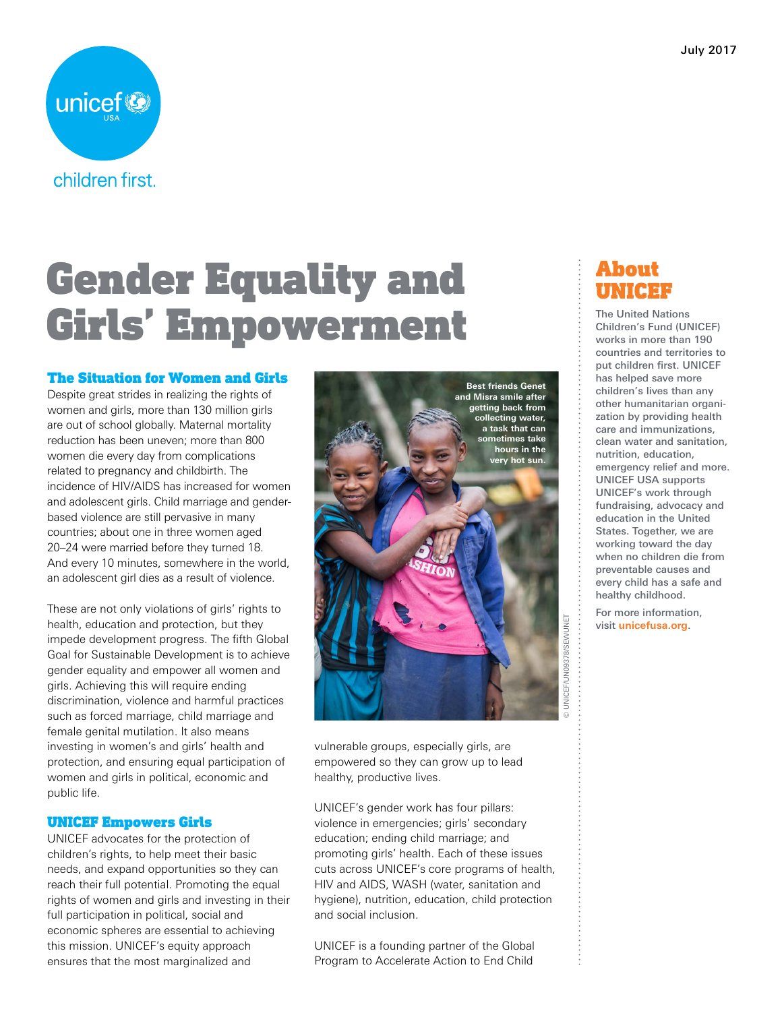

# Gender Equality and Girls' Empowerment

#### The Situation for Women and Girls

Despite great strides in realizing the rights of women and girls, more than 130 million girls are out of school globally. Maternal mortality reduction has been uneven; more than 800 women die every day from complications related to pregnancy and childbirth. The incidence of HIV/AIDS has increased for women and adolescent girls. Child marriage and genderbased violence are still pervasive in many countries; about one in three women aged 20–24 were married before they turned 18. And every 10 minutes, somewhere in the world, an adolescent girl dies as a result of violence.

These are not only violations of girls' rights to health, education and protection, but they impede development progress. The fifth Global Goal for Sustainable Development is to achieve gender equality and empower all women and girls. Achieving this will require ending discrimination, violence and harmful practices such as forced marriage, child marriage and female genital mutilation. It also means investing in women's and girls' health and protection, and ensuring equal participation of women and girls in political, economic and public life.

#### UNICEF Empowers Girls

UNICEF advocates for the protection of children's rights, to help meet their basic needs, and expand opportunities so they can reach their full potential. Promoting the equal rights of women and girls and investing in their full participation in political, social and economic spheres are essential to achieving this mission. UNICEF's equity approach ensures that the most marginalized and



vulnerable groups, especially girls, are empowered so they can grow up to lead healthy, productive lives.

UNICEF's gender work has four pillars: violence in emergencies; girls' secondary education; ending child marriage; and promoting girls' health. Each of these issues cuts across UNICEF's core programs of health, HIV and AIDS, WASH (water, sanitation and hygiene), nutrition, education, child protection and social inclusion.

UNICEF is a founding partner of the Global Program to Accelerate Action to End Child

### About UNICEF

The United Nations Children's Fund (UNICEF) works in more than 190 countries and territories to put children first. UNICEF has helped save more children's lives than any other humanitarian organization by providing health care and immunizations, clean water and sanitation, nutrition, education, emergency relief and more. UNICEF USA supports UNICEF's work through fundraising, advocacy and education in the United States. Together, we are working toward the day when no children die from preventable causes and every child has a safe and healthy childhood.

For more information, visit **unicefusa.org**.